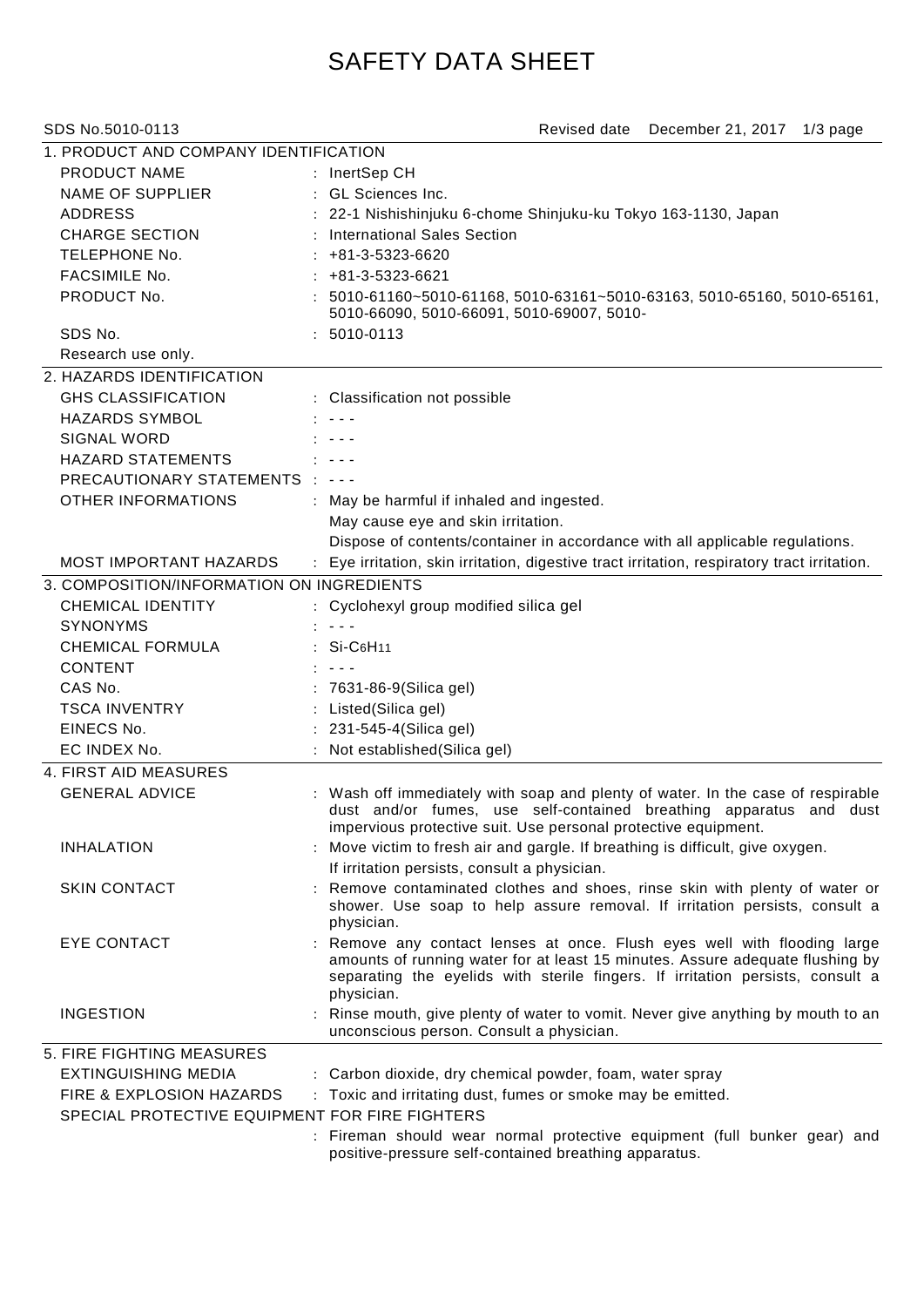## SAFETY DATA SHEET

| SDS No.5010-0113                                                           | Revised date<br>December 21, 2017 1/3 page                                                                                                                                                                                                                |
|----------------------------------------------------------------------------|-----------------------------------------------------------------------------------------------------------------------------------------------------------------------------------------------------------------------------------------------------------|
| 1. PRODUCT AND COMPANY IDENTIFICATION                                      |                                                                                                                                                                                                                                                           |
| PRODUCT NAME                                                               | : InertSep CH                                                                                                                                                                                                                                             |
| <b>NAME OF SUPPLIER</b>                                                    | : GL Sciences Inc.                                                                                                                                                                                                                                        |
| <b>ADDRESS</b>                                                             | : 22-1 Nishishinjuku 6-chome Shinjuku-ku Tokyo 163-1130, Japan                                                                                                                                                                                            |
| <b>CHARGE SECTION</b>                                                      | : International Sales Section                                                                                                                                                                                                                             |
| TELEPHONE No.                                                              | $: +81-3-5323-6620$                                                                                                                                                                                                                                       |
| <b>FACSIMILE No.</b>                                                       | $: +81-3-5323-6621$                                                                                                                                                                                                                                       |
| PRODUCT No.                                                                | $: 5010-61160-5010-61168, 5010-63161-5010-63163, 5010-65160, 5010-65161,$<br>5010-66090, 5010-66091, 5010-69007, 5010-                                                                                                                                    |
| SDS No.                                                                    | $: 5010 - 0113$                                                                                                                                                                                                                                           |
| Research use only.                                                         |                                                                                                                                                                                                                                                           |
| 2. HAZARDS IDENTIFICATION                                                  |                                                                                                                                                                                                                                                           |
| <b>GHS CLASSIFICATION</b>                                                  | : Classification not possible                                                                                                                                                                                                                             |
| <b>HAZARDS SYMBOL</b>                                                      |                                                                                                                                                                                                                                                           |
| <b>SIGNAL WORD</b>                                                         |                                                                                                                                                                                                                                                           |
| <b>HAZARD STATEMENTS</b>                                                   | $\frac{1}{2} \left( \frac{1}{2} \right) \frac{1}{2} \left( \frac{1}{2} \right) \frac{1}{2} \left( \frac{1}{2} \right)$                                                                                                                                    |
| PRECAUTIONARY STATEMENTS : ---                                             |                                                                                                                                                                                                                                                           |
| <b>OTHER INFORMATIONS</b>                                                  | : May be harmful if inhaled and ingested.                                                                                                                                                                                                                 |
|                                                                            | May cause eye and skin irritation.                                                                                                                                                                                                                        |
|                                                                            | Dispose of contents/container in accordance with all applicable regulations.                                                                                                                                                                              |
| <b>MOST IMPORTANT HAZARDS</b>                                              | : Eye irritation, skin irritation, digestive tract irritation, respiratory tract irritation.                                                                                                                                                              |
| 3. COMPOSITION/INFORMATION ON INGREDIENTS                                  |                                                                                                                                                                                                                                                           |
| <b>CHEMICAL IDENTITY</b>                                                   | : Cyclohexyl group modified silica gel                                                                                                                                                                                                                    |
| <b>SYNONYMS</b>                                                            | $\sim$ $\sim$ $\sim$                                                                                                                                                                                                                                      |
| <b>CHEMICAL FORMULA</b>                                                    | : Si-C6H11                                                                                                                                                                                                                                                |
| <b>CONTENT</b>                                                             |                                                                                                                                                                                                                                                           |
| CAS No.                                                                    | 7631-86-9(Silica gel)                                                                                                                                                                                                                                     |
|                                                                            |                                                                                                                                                                                                                                                           |
| <b>TSCA INVENTRY</b><br>EINECS No.                                         | : Listed(Silica gel)<br>: 231-545-4(Silica gel)                                                                                                                                                                                                           |
| EC INDEX No.                                                               | Not established(Silica gel)                                                                                                                                                                                                                               |
|                                                                            |                                                                                                                                                                                                                                                           |
| 4. FIRST AID MEASURES                                                      |                                                                                                                                                                                                                                                           |
| <b>GENERAL ADVICE</b>                                                      | : Wash off immediately with soap and plenty of water. In the case of respirable<br>dust and/or fumes, use self-contained breathing apparatus and dust<br>impervious protective suit. Use personal protective equipment.                                   |
| <b>INHALATION</b>                                                          | : Move victim to fresh air and gargle. If breathing is difficult, give oxygen.                                                                                                                                                                            |
|                                                                            | If irritation persists, consult a physician.                                                                                                                                                                                                              |
| <b>SKIN CONTACT</b>                                                        | : Remove contaminated clothes and shoes, rinse skin with plenty of water or<br>shower. Use soap to help assure removal. If irritation persists, consult a<br>physician.                                                                                   |
| <b>EYE CONTACT</b>                                                         | : Remove any contact lenses at once. Flush eyes well with flooding large<br>amounts of running water for at least 15 minutes. Assure adequate flushing by<br>separating the eyelids with sterile fingers. If irritation persists, consult a<br>physician. |
| <b>INGESTION</b>                                                           | : Rinse mouth, give plenty of water to vomit. Never give anything by mouth to an<br>unconscious person. Consult a physician.                                                                                                                              |
| 5. FIRE FIGHTING MEASURES                                                  |                                                                                                                                                                                                                                                           |
| <b>EXTINGUISHING MEDIA</b>                                                 | : Carbon dioxide, dry chemical powder, foam, water spray                                                                                                                                                                                                  |
| FIRE & EXPLOSION HAZARDS<br>SPECIAL PROTECTIVE EQUIPMENT FOR FIRE FIGHTERS | : Toxic and irritating dust, fumes or smoke may be emitted.                                                                                                                                                                                               |

: Fireman should wear normal protective equipment (full bunker gear) and positive-pressure self-contained breathing apparatus.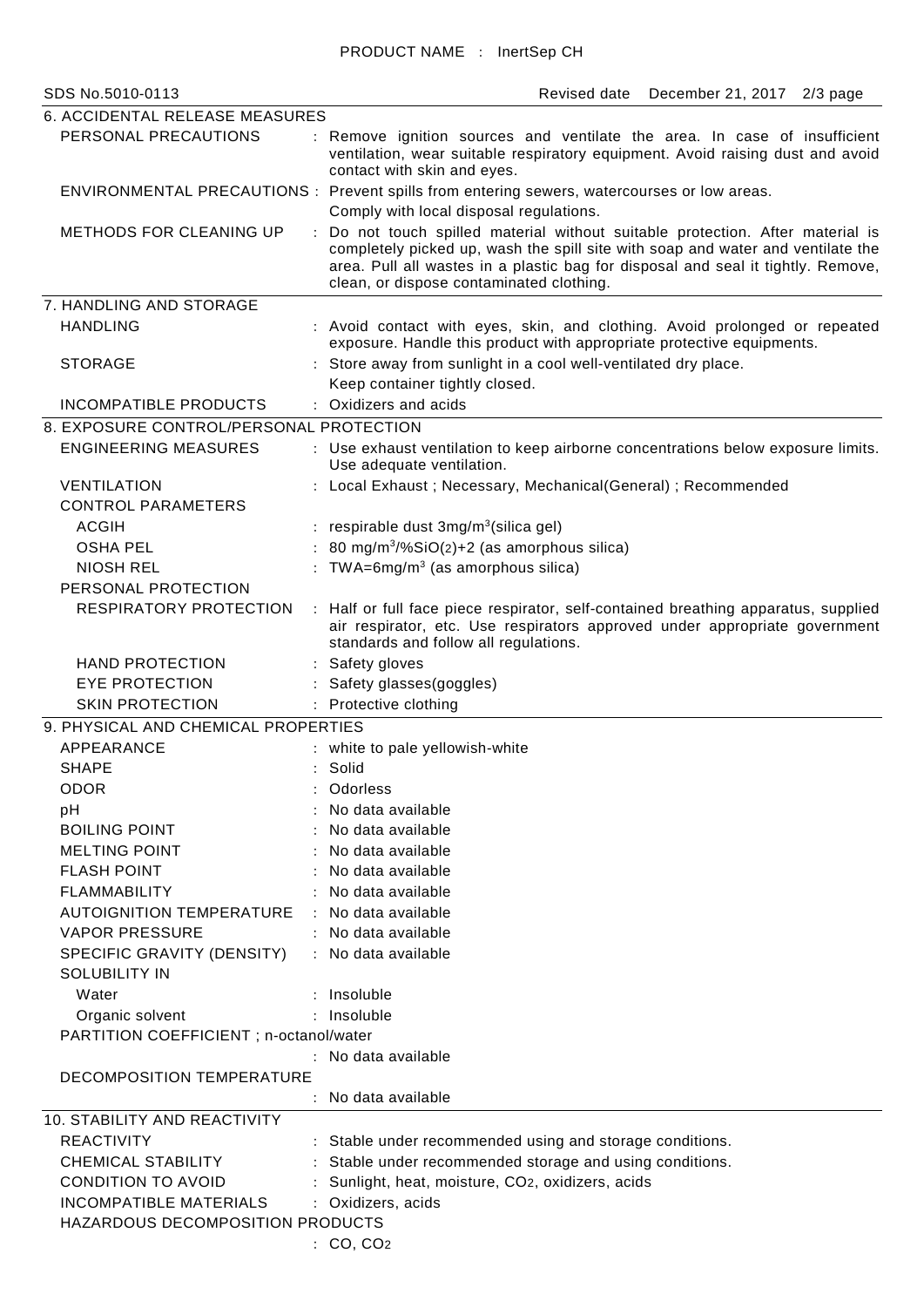| <b>6. ACCIDENTAL RELEASE MEASURES</b>              |                |                                                                                                                                                                                                                                                                                                 |  |  |
|----------------------------------------------------|----------------|-------------------------------------------------------------------------------------------------------------------------------------------------------------------------------------------------------------------------------------------------------------------------------------------------|--|--|
| PERSONAL PRECAUTIONS                               |                | : Remove ignition sources and ventilate the area. In case of insufficient<br>ventilation, wear suitable respiratory equipment. Avoid raising dust and avoid<br>contact with skin and eyes.                                                                                                      |  |  |
|                                                    |                | ENVIRONMENTAL PRECAUTIONS : Prevent spills from entering sewers, watercourses or low areas.                                                                                                                                                                                                     |  |  |
|                                                    |                | Comply with local disposal regulations.                                                                                                                                                                                                                                                         |  |  |
| <b>METHODS FOR CLEANING UP</b>                     | $\ddot{\cdot}$ | Do not touch spilled material without suitable protection. After material is<br>completely picked up, wash the spill site with soap and water and ventilate the<br>area. Pull all wastes in a plastic bag for disposal and seal it tightly. Remove,<br>clean, or dispose contaminated clothing. |  |  |
| 7. HANDLING AND STORAGE                            |                |                                                                                                                                                                                                                                                                                                 |  |  |
| <b>HANDLING</b>                                    |                | : Avoid contact with eyes, skin, and clothing. Avoid prolonged or repeated<br>exposure. Handle this product with appropriate protective equipments.                                                                                                                                             |  |  |
| <b>STORAGE</b>                                     |                | : Store away from sunlight in a cool well-ventilated dry place.<br>Keep container tightly closed.                                                                                                                                                                                               |  |  |
| <b>INCOMPATIBLE PRODUCTS</b>                       |                | : Oxidizers and acids                                                                                                                                                                                                                                                                           |  |  |
| 8. EXPOSURE CONTROL/PERSONAL PROTECTION            |                |                                                                                                                                                                                                                                                                                                 |  |  |
| <b>ENGINEERING MEASURES</b>                        |                | : Use exhaust ventilation to keep airborne concentrations below exposure limits.<br>Use adequate ventilation.                                                                                                                                                                                   |  |  |
| <b>VENTILATION</b>                                 |                | : Local Exhaust ; Necessary, Mechanical(General) ; Recommended                                                                                                                                                                                                                                  |  |  |
| <b>CONTROL PARAMETERS</b>                          |                |                                                                                                                                                                                                                                                                                                 |  |  |
| <b>ACGIH</b>                                       |                | : respirable dust $3mg/m3(silica gel)$                                                                                                                                                                                                                                                          |  |  |
| <b>OSHA PEL</b>                                    |                | 80 mg/m $3\%$ SiO(2)+2 (as amorphous silica)                                                                                                                                                                                                                                                    |  |  |
| <b>NIOSH REL</b>                                   |                | : TWA=6mg/m <sup>3</sup> (as amorphous silica)                                                                                                                                                                                                                                                  |  |  |
| PERSONAL PROTECTION                                |                |                                                                                                                                                                                                                                                                                                 |  |  |
| RESPIRATORY PROTECTION                             |                | : Half or full face piece respirator, self-contained breathing apparatus, supplied<br>air respirator, etc. Use respirators approved under appropriate government<br>standards and follow all regulations.                                                                                       |  |  |
| <b>HAND PROTECTION</b>                             |                | : Safety gloves                                                                                                                                                                                                                                                                                 |  |  |
| <b>EYE PROTECTION</b>                              |                | : Safety glasses(goggles)                                                                                                                                                                                                                                                                       |  |  |
| <b>SKIN PROTECTION</b>                             |                | : Protective clothing                                                                                                                                                                                                                                                                           |  |  |
| 9. PHYSICAL AND CHEMICAL PROPERTIES                |                |                                                                                                                                                                                                                                                                                                 |  |  |
| APPEARANCE                                         |                | : white to pale yellowish-white                                                                                                                                                                                                                                                                 |  |  |
| <b>SHAPE</b>                                       |                | Solid                                                                                                                                                                                                                                                                                           |  |  |
| <b>ODOR</b>                                        |                | Odorless                                                                                                                                                                                                                                                                                        |  |  |
| pH                                                 |                | No data available                                                                                                                                                                                                                                                                               |  |  |
| <b>BOILING POINT</b>                               |                | No data available                                                                                                                                                                                                                                                                               |  |  |
| <b>MELTING POINT</b>                               |                | No data available                                                                                                                                                                                                                                                                               |  |  |
| <b>FLASH POINT</b>                                 |                | No data available                                                                                                                                                                                                                                                                               |  |  |
| <b>FLAMMABILITY</b>                                |                | : No data available                                                                                                                                                                                                                                                                             |  |  |
| <b>AUTOIGNITION TEMPERATURE</b>                    |                | No data available                                                                                                                                                                                                                                                                               |  |  |
| <b>VAPOR PRESSURE</b>                              |                | : No data available                                                                                                                                                                                                                                                                             |  |  |
| SPECIFIC GRAVITY (DENSITY)<br><b>SOLUBILITY IN</b> |                | : No data available                                                                                                                                                                                                                                                                             |  |  |
| Water                                              |                | : Insoluble                                                                                                                                                                                                                                                                                     |  |  |
| Organic solvent                                    |                | Insoluble                                                                                                                                                                                                                                                                                       |  |  |
| PARTITION COEFFICIENT ; n-octanol/water            |                |                                                                                                                                                                                                                                                                                                 |  |  |
|                                                    |                | : No data available                                                                                                                                                                                                                                                                             |  |  |
| DECOMPOSITION TEMPERATURE                          |                | No data available                                                                                                                                                                                                                                                                               |  |  |
| <b>10. STABILITY AND REACTIVITY</b>                |                |                                                                                                                                                                                                                                                                                                 |  |  |
| <b>REACTIVITY</b>                                  |                | : Stable under recommended using and storage conditions.                                                                                                                                                                                                                                        |  |  |
| CHEMICAL STABILITY                                 |                | Stable under recommended storage and using conditions.                                                                                                                                                                                                                                          |  |  |
| <b>CONDITION TO AVOID</b>                          |                | Sunlight, heat, moisture, CO2, oxidizers, acids                                                                                                                                                                                                                                                 |  |  |
| <b>INCOMPATIBLE MATERIALS</b>                      |                | Oxidizers, acids                                                                                                                                                                                                                                                                                |  |  |
| HAZARDOUS DECOMPOSITION PRODUCTS                   |                |                                                                                                                                                                                                                                                                                                 |  |  |
|                                                    |                | : CO, CO <sub>2</sub>                                                                                                                                                                                                                                                                           |  |  |